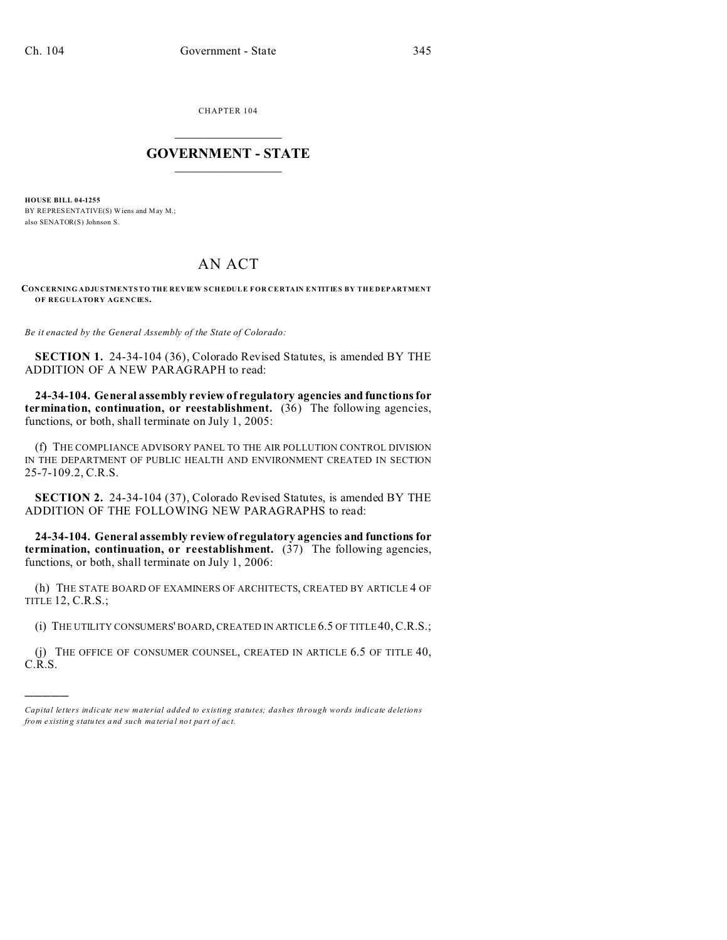)))))

CHAPTER 104  $\overline{\phantom{a}}$  , where  $\overline{\phantom{a}}$ 

## **GOVERNMENT - STATE**  $\_$   $\_$

**HOUSE BILL 04-1255** BY REPRESENTATIVE(S) Wiens and May M.; also SENATOR(S) Johnson S.

## AN ACT

**CONCERNING ADJUSTMENTS TO THE REVIEW SCHEDULE FOR CERTAIN ENTITIES BY THE DEPARTMENT OF REGULATORY AGENCIES.**

*Be it enacted by the General Assembly of the State of Colorado:*

**SECTION 1.** 24-34-104 (36), Colorado Revised Statutes, is amended BY THE ADDITION OF A NEW PARAGRAPH to read:

**24-34-104. General assembly review of regulatory agencies and functions for termination, continuation, or reestablishment.** (36) The following agencies, functions, or both, shall terminate on July 1, 2005:

(f) THE COMPLIANCE ADVISORY PANEL TO THE AIR POLLUTION CONTROL DIVISION IN THE DEPARTMENT OF PUBLIC HEALTH AND ENVIRONMENT CREATED IN SECTION 25-7-109.2, C.R.S.

**SECTION 2.** 24-34-104 (37), Colorado Revised Statutes, is amended BY THE ADDITION OF THE FOLLOWING NEW PARAGRAPHS to read:

**24-34-104. General assembly review of regulatory agencies and functions for termination, continuation, or reestablishment.** (37) The following agencies, functions, or both, shall terminate on July 1, 2006:

(h) THE STATE BOARD OF EXAMINERS OF ARCHITECTS, CREATED BY ARTICLE 4 OF TITLE 12, C.R.S.;

(i) THE UTILITY CONSUMERS' BOARD, CREATED IN ARTICLE 6.5 OF TITLE40,C.R.S.;

(j) THE OFFICE OF CONSUMER COUNSEL, CREATED IN ARTICLE 6.5 OF TITLE 40, C.R.S.

*Capital letters indicate new material added to existing statutes; dashes through words indicate deletions from e xistin g statu tes a nd such ma teria l no t pa rt of ac t.*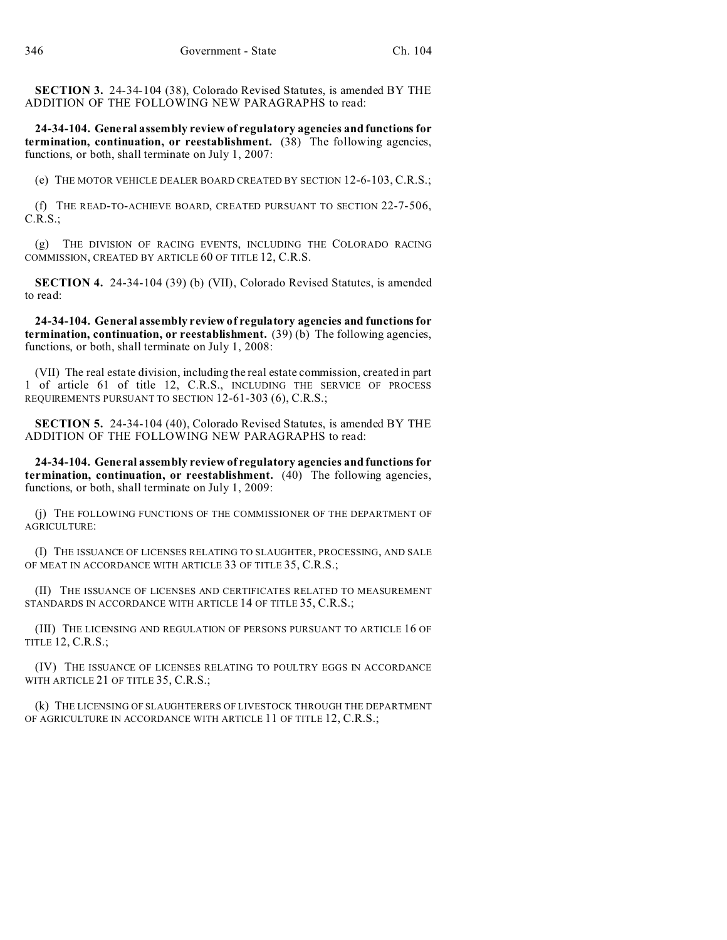**SECTION 3.** 24-34-104 (38), Colorado Revised Statutes, is amended BY THE ADDITION OF THE FOLLOWING NEW PARAGRAPHS to read:

**24-34-104. General assembly review of regulatory agencies and functions for termination, continuation, or reestablishment.** (38) The following agencies, functions, or both, shall terminate on July 1, 2007:

(e) THE MOTOR VEHICLE DEALER BOARD CREATED BY SECTION 12-6-103, C.R.S.;

(f) THE READ-TO-ACHIEVE BOARD, CREATED PURSUANT TO SECTION 22-7-506, C.R.S.;

(g) THE DIVISION OF RACING EVENTS, INCLUDING THE COLORADO RACING COMMISSION, CREATED BY ARTICLE 60 OF TITLE 12, C.R.S.

**SECTION 4.** 24-34-104 (39) (b) (VII), Colorado Revised Statutes, is amended to read:

**24-34-104. General assembly review of regulatory agencies and functions for termination, continuation, or reestablishment.** (39) (b) The following agencies, functions, or both, shall terminate on July 1, 2008:

(VII) The real estate division, including the real estate commission, created in part 1 of article 61 of title 12, C.R.S., INCLUDING THE SERVICE OF PROCESS REQUIREMENTS PURSUANT TO SECTION 12-61-303 (6), C.R.S.;

**SECTION 5.** 24-34-104 (40), Colorado Revised Statutes, is amended BY THE ADDITION OF THE FOLLOWING NEW PARAGRAPHS to read:

**24-34-104. General assembly review of regulatory agencies and functions for termination, continuation, or reestablishment.** (40) The following agencies, functions, or both, shall terminate on July 1, 2009:

(j) THE FOLLOWING FUNCTIONS OF THE COMMISSIONER OF THE DEPARTMENT OF AGRICULTURE:

(I) THE ISSUANCE OF LICENSES RELATING TO SLAUGHTER, PROCESSING, AND SALE OF MEAT IN ACCORDANCE WITH ARTICLE 33 OF TITLE 35, C.R.S.;

(II) THE ISSUANCE OF LICENSES AND CERTIFICATES RELATED TO MEASUREMENT STANDARDS IN ACCORDANCE WITH ARTICLE 14 OF TITLE 35, C.R.S.;

(III) THE LICENSING AND REGULATION OF PERSONS PURSUANT TO ARTICLE 16 OF TITLE 12, C.R.S.;

(IV) THE ISSUANCE OF LICENSES RELATING TO POULTRY EGGS IN ACCORDANCE WITH ARTICLE 21 OF TITLE 35, C.R.S.;

(k) THE LICENSING OF SLAUGHTERERS OF LIVESTOCK THROUGH THE DEPARTMENT OF AGRICULTURE IN ACCORDANCE WITH ARTICLE 11 OF TITLE 12, C.R.S.;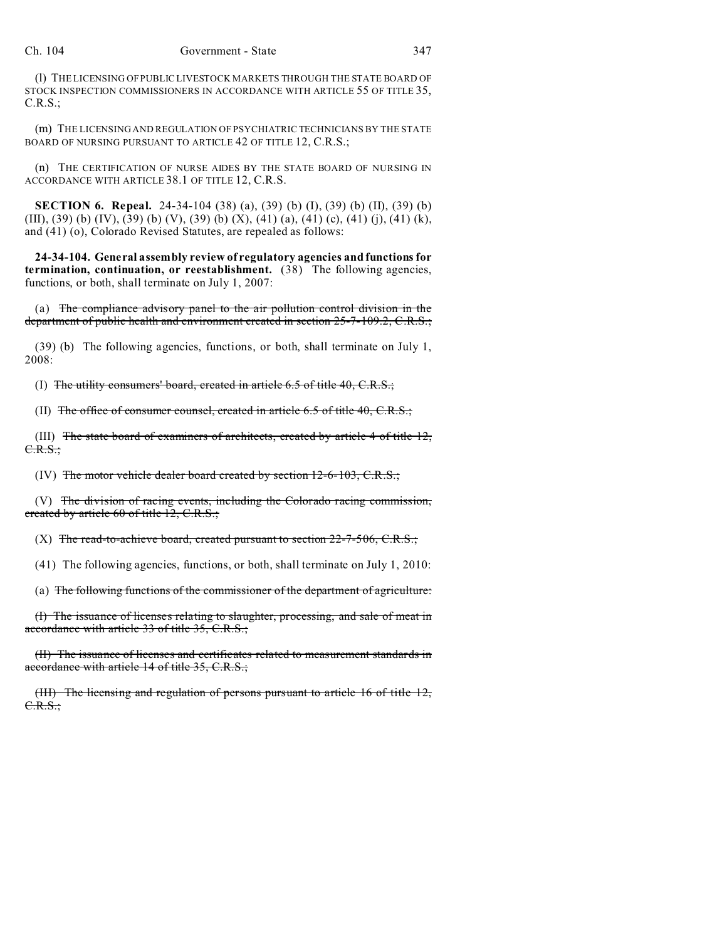(l) THE LICENSING OF PUBLIC LIVESTOCK MARKETS THROUGH THE STATE BOARD OF STOCK INSPECTION COMMISSIONERS IN ACCORDANCE WITH ARTICLE 55 OF TITLE 35, C.R.S.;

(m) THE LICENSING AND REGULATION OF PSYCHIATRIC TECHNICIANS BY THE STATE BOARD OF NURSING PURSUANT TO ARTICLE 42 OF TITLE 12, C.R.S.;

(n) THE CERTIFICATION OF NURSE AIDES BY THE STATE BOARD OF NURSING IN ACCORDANCE WITH ARTICLE 38.1 OF TITLE 12, C.R.S.

**SECTION 6. Repeal.** 24-34-104 (38) (a), (39) (b) (I), (39) (b) (II), (39) (b) (III),  $(39)$  (b)  $(IV)$ ,  $(39)$  (b)  $(V)$ ,  $(39)$  (b)  $(X)$ ,  $(41)$   $(a)$ ,  $(41)$   $(c)$ ,  $(41)$   $(i)$ ,  $(41)$   $(k)$ , and (41) (o), Colorado Revised Statutes, are repealed as follows:

**24-34-104. General assembly review of regulatory agencies and functions for termination, continuation, or reestablishment.** (38) The following agencies, functions, or both, shall terminate on July 1, 2007:

(a) The compliance advisory panel to the air pollution control division in the department of public health and environment created in section 25-7-109.2, C.R.S.;

(39) (b) The following agencies, functions, or both, shall terminate on July 1, 2008:

(I) The utility consumers' board, created in article 6.5 of title 40, C.R.S.;

(II) The office of consumer counsel, created in article 6.5 of title 40, C.R.S.;

(III) The state board of examiners of architects, created by article 4 of title 12, C.R.S.;

(IV) The motor vehicle dealer board created by section 12-6-103, C.R.S.;

(V) The division of racing events, including the Colorado racing commission, created by article 60 of title 12, C.R.S.;

(X) The read-to-achieve board, created pursuant to section  $22$ -7-506, C.R.S.;

(41) The following agencies, functions, or both, shall terminate on July 1, 2010:

(a) The following functions of the commissioner of the department of agriculture:

(I) The issuance of licenses relating to slaughter, processing, and sale of meat in accordance with article 33 of title 35, C.R.S.;

(II) The issuance of licenses and certificates related to measurement standards in accordance with article 14 of title 35, C.R.S.;

(III) The licensing and regulation of persons pursuant to article 16 of title 12, C.R.S.;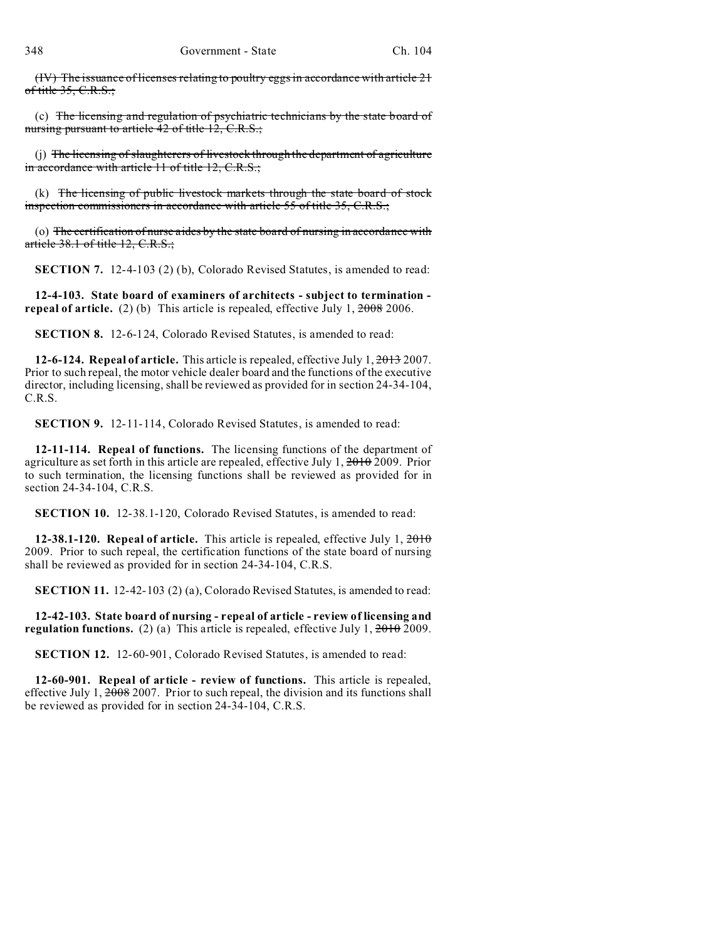(IV) The issuance of licenses relating to poultry eggs in accordance with article 21 of title 35, C.R.S.;

(c) The licensing and regulation of psychiatric technicians by the state board of nursing pursuant to article 42 of title 12, C.R.S.;

(j) The licensing of slaughterers of livestock through the department of agriculture in accordance with article 11 of title 12, C.R.S.;

(k) The licensing of public livestock markets through the state board of stock inspection commissioners in accordance with article 55 of title 35, C.R.S.;

(o) The certification of nurse aides by the state board of nursing in accordance with article 38.1 of title 12, C.R.S.;

**SECTION 7.** 12-4-103 (2) (b), Colorado Revised Statutes, is amended to read:

**12-4-103. State board of examiners of architects - subject to termination repeal of article.** (2) (b) This article is repealed, effective July 1, 2008 2006.

**SECTION 8.** 12-6-124, Colorado Revised Statutes, is amended to read:

**12-6-124. Repeal of article.** This article is repealed, effective July 1, 2013 2007. Prior to such repeal, the motor vehicle dealer board and the functions of the executive director, including licensing, shall be reviewed as provided for in section 24-34-104, C.R.S.

**SECTION 9.** 12-11-114, Colorado Revised Statutes, is amended to read:

**12-11-114. Repeal of functions.** The licensing functions of the department of agriculture as set forth in this article are repealed, effective July 1, 2010 2009. Prior to such termination, the licensing functions shall be reviewed as provided for in section 24-34-104, C.R.S.

**SECTION 10.** 12-38.1-120, Colorado Revised Statutes, is amended to read:

**12-38.1-120. Repeal of article.** This article is repealed, effective July 1, 2010 2009. Prior to such repeal, the certification functions of the state board of nursing shall be reviewed as provided for in section 24-34-104, C.R.S.

**SECTION 11.** 12-42-103 (2) (a), Colorado Revised Statutes, is amended to read:

**12-42-103. State board of nursing - repeal of article - review of licensing and regulation functions.** (2) (a) This article is repealed, effective July 1, 2010 2009.

**SECTION 12.** 12-60-901, Colorado Revised Statutes, is amended to read:

**12-60-901. Repeal of article - review of functions.** This article is repealed, effective July 1,  $\frac{2008}{2007}$ . Prior to such repeal, the division and its functions shall be reviewed as provided for in section 24-34-104, C.R.S.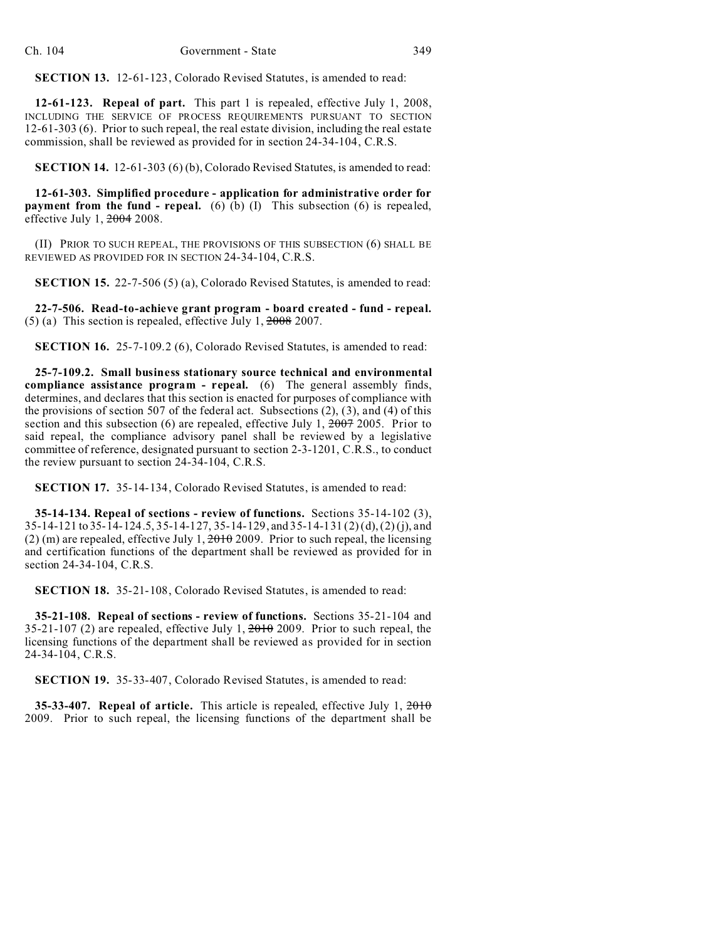**SECTION 13.** 12-61-123, Colorado Revised Statutes, is amended to read:

**12-61-123. Repeal of part.** This part 1 is repealed, effective July 1, 2008, INCLUDING THE SERVICE OF PROCESS REQUIREMENTS PURSUANT TO SECTION 12-61-303 (6). Prior to such repeal, the real estate division, including the real estate commission, shall be reviewed as provided for in section 24-34-104, C.R.S.

**SECTION 14.** 12-61-303 (6) (b), Colorado Revised Statutes, is amended to read:

**12-61-303. Simplified procedure - application for administrative order for payment from the fund - repeal.** (6) (b) (I) This subsection (6) is repealed, effective July 1, 2004 2008.

(II) PRIOR TO SUCH REPEAL, THE PROVISIONS OF THIS SUBSECTION (6) SHALL BE REVIEWED AS PROVIDED FOR IN SECTION 24-34-104, C.R.S.

**SECTION 15.** 22-7-506 (5) (a), Colorado Revised Statutes, is amended to read:

**22-7-506. Read-to-achieve grant program - board created - fund - repeal.** (5) (a) This section is repealed, effective July 1, 2008 2007.

**SECTION 16.** 25-7-109.2 (6), Colorado Revised Statutes, is amended to read:

**25-7-109.2. Small business stationary source technical and environmental compliance assistance program - repeal.** (6) The general assembly finds, determines, and declares that this section is enacted for purposes of compliance with the provisions of section 507 of the federal act. Subsections (2), (3), and (4) of this section and this subsection (6) are repealed, effective July 1,  $\frac{2007}{2005}$ . Prior to said repeal, the compliance advisory panel shall be reviewed by a legislative committee of reference, designated pursuant to section 2-3-1201, C.R.S., to conduct the review pursuant to section 24-34-104, C.R.S.

**SECTION 17.** 35-14-134, Colorado Revised Statutes, is amended to read:

**35-14-134. Repeal of sections - review of functions.** Sections 35-14-102 (3), 35-14-121 to 35-14-124.5, 35-14-127, 35-14-129, and 35-14-131 (2) (d), (2) (j), and (2) (m) are repealed, effective July 1,  $\frac{2010}{2009}$ . Prior to such repeal, the licensing and certification functions of the department shall be reviewed as provided for in section 24-34-104, C.R.S.

**SECTION 18.** 35-21-108, Colorado Revised Statutes, is amended to read:

**35-21-108. Repeal of sections - review of functions.** Sections 35-21-104 and  $35-21-107$  (2) are repealed, effective July 1,  $2010-2009$ . Prior to such repeal, the licensing functions of the department shall be reviewed as provided for in section 24-34-104, C.R.S.

**SECTION 19.** 35-33-407, Colorado Revised Statutes, is amended to read:

**35-33-407. Repeal of article.** This article is repealed, effective July 1, 2010 2009. Prior to such repeal, the licensing functions of the department shall be